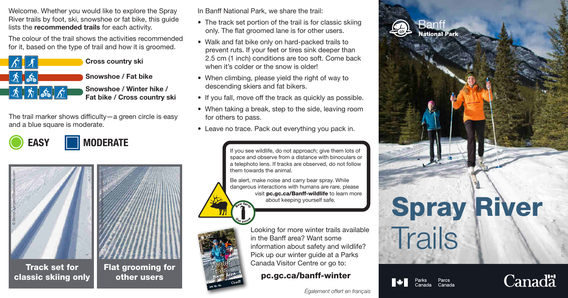Welcome. Whether you would like to explore the Spray River trails by foot, ski, snowshoe or fat bike, this guide lists the recommended trails for each activity.

The colour of the trail shows the activities recommended for it, based on the type of trail and how it is groomed.



Snowshoe / Winter hike / Fat bike / Cross country ski

The trail marker shows difficulty—a green circle is easy and a blue square is moderate.

*© Svetlana Bogomolova/Dreamstime.com*

EASY **MODERATE** 



Track set for classic skiing only



In Banff National Park, we share the trail:

- The track set portion of the trail is for classic skiing only. The flat groomed lane is for other users.
- Walk and fat bike only on hard-packed trails to prevent ruts. If your feet or tires sink deeper than 2.5 cm (1 inch) conditions are too soft. Come back when it's colder or the snow is older!
- When climbing, please yield the right of way to descending skiers and fat bikers.
- If you fall, move off the track as quickly as possible.
- When taking a break, step to the side, leaving room for others to pass.
- Leave no trace. Pack out everything you pack in.

If you see wildlife, do not approach; give them lots of space and observe from a distance with binoculars or a telephoto lens. If tracks are observed, do not follow them towards the animal.

Be alert, make noise and carry bear spray. While dangerous interactions with humans are rare, please visit pc.gc.ca/Banff-wildlife to learn more about keeping yourself safe.

> Looking for more winter trails available in the Banff area? Want some information about safety and wildlife? Pick up our winter guide at a Parks Canada Visitor Centre or go to:

pc.gc.ca/banff-winter







Parcs<br>Canada



*P. Zizka*